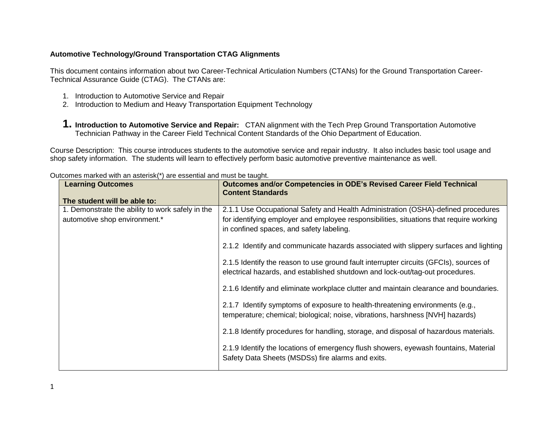## **Automotive Technology/Ground Transportation CTAG Alignments**

This document contains information about two Career-Technical Articulation Numbers (CTANs) for the Ground Transportation Career-Technical Assurance Guide (CTAG). The CTANs are:

- 1. Introduction to Automotive Service and Repair
- 2. Introduction to Medium and Heavy Transportation Equipment Technology
- **1. Introduction to Automotive Service and Repair:** CTAN alignment with the Tech Prep Ground Transportation Automotive Technician Pathway in the Career Field Technical Content Standards of the Ohio Department of Education.

Course Description: This course introduces students to the automotive service and repair industry. It also includes basic tool usage and shop safety information. The students will learn to effectively perform basic automotive preventive maintenance as well.

| <b>Learning Outcomes</b>                                                          | Outcomes and/or Competencies in ODE's Revised Career Field Technical<br><b>Content Standards</b>                                                                                                                         |  |
|-----------------------------------------------------------------------------------|--------------------------------------------------------------------------------------------------------------------------------------------------------------------------------------------------------------------------|--|
| The student will be able to:                                                      |                                                                                                                                                                                                                          |  |
| 1. Demonstrate the ability to work safely in the<br>automotive shop environment.* | 2.1.1 Use Occupational Safety and Health Administration (OSHA)-defined procedures<br>for identifying employer and employee responsibilities, situations that require working<br>in confined spaces, and safety labeling. |  |
|                                                                                   | 2.1.2 Identify and communicate hazards associated with slippery surfaces and lighting                                                                                                                                    |  |
|                                                                                   | 2.1.5 Identify the reason to use ground fault interrupter circuits (GFCIs), sources of<br>electrical hazards, and established shutdown and lock-out/tag-out procedures.                                                  |  |
|                                                                                   | 2.1.6 Identify and eliminate workplace clutter and maintain clearance and boundaries.                                                                                                                                    |  |
|                                                                                   | 2.1.7 Identify symptoms of exposure to health-threatening environments (e.g.,<br>temperature; chemical; biological; noise, vibrations, harshness [NVH] hazards)                                                          |  |
|                                                                                   | 2.1.8 Identify procedures for handling, storage, and disposal of hazardous materials.                                                                                                                                    |  |
|                                                                                   | 2.1.9 Identify the locations of emergency flush showers, eyewash fountains, Material<br>Safety Data Sheets (MSDSs) fire alarms and exits.                                                                                |  |

Outcomes marked with an asterisk(\*) are essential and must be taught.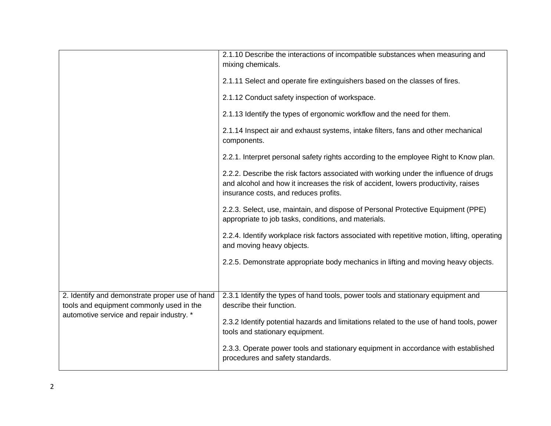|                                                | 2.1.10 Describe the interactions of incompatible substances when measuring and<br>mixing chemicals.                                                                                                                  |
|------------------------------------------------|----------------------------------------------------------------------------------------------------------------------------------------------------------------------------------------------------------------------|
|                                                | 2.1.11 Select and operate fire extinguishers based on the classes of fires.                                                                                                                                          |
|                                                | 2.1.12 Conduct safety inspection of workspace.                                                                                                                                                                       |
|                                                | 2.1.13 Identify the types of ergonomic workflow and the need for them.                                                                                                                                               |
|                                                | 2.1.14 Inspect air and exhaust systems, intake filters, fans and other mechanical<br>components.                                                                                                                     |
|                                                | 2.2.1. Interpret personal safety rights according to the employee Right to Know plan.                                                                                                                                |
|                                                | 2.2.2. Describe the risk factors associated with working under the influence of drugs<br>and alcohol and how it increases the risk of accident, lowers productivity, raises<br>insurance costs, and reduces profits. |
|                                                | 2.2.3. Select, use, maintain, and dispose of Personal Protective Equipment (PPE)<br>appropriate to job tasks, conditions, and materials.                                                                             |
|                                                | 2.2.4. Identify workplace risk factors associated with repetitive motion, lifting, operating<br>and moving heavy objects.                                                                                            |
|                                                | 2.2.5. Demonstrate appropriate body mechanics in lifting and moving heavy objects.                                                                                                                                   |
| 2. Identify and demonstrate proper use of hand | 2.3.1 Identify the types of hand tools, power tools and stationary equipment and                                                                                                                                     |
| tools and equipment commonly used in the       | describe their function.                                                                                                                                                                                             |
| automotive service and repair industry. *      | 2.3.2 Identify potential hazards and limitations related to the use of hand tools, power<br>tools and stationary equipment.                                                                                          |
|                                                | 2.3.3. Operate power tools and stationary equipment in accordance with established<br>procedures and safety standards.                                                                                               |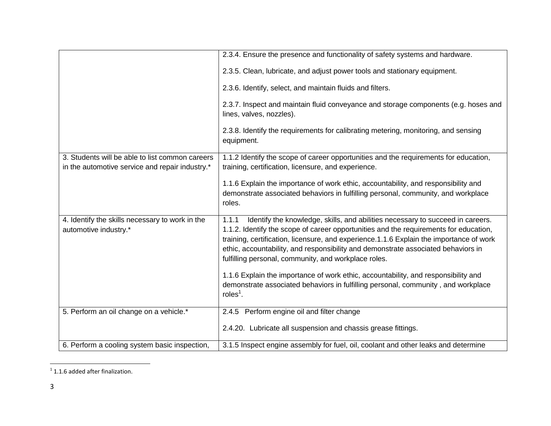|                                                                                                    | 2.3.4. Ensure the presence and functionality of safety systems and hardware.                                                                                                                                                                                                                                                                                                                                                                                                                                                                                                                                       |
|----------------------------------------------------------------------------------------------------|--------------------------------------------------------------------------------------------------------------------------------------------------------------------------------------------------------------------------------------------------------------------------------------------------------------------------------------------------------------------------------------------------------------------------------------------------------------------------------------------------------------------------------------------------------------------------------------------------------------------|
|                                                                                                    | 2.3.5. Clean, lubricate, and adjust power tools and stationary equipment.                                                                                                                                                                                                                                                                                                                                                                                                                                                                                                                                          |
|                                                                                                    | 2.3.6. Identify, select, and maintain fluids and filters.                                                                                                                                                                                                                                                                                                                                                                                                                                                                                                                                                          |
|                                                                                                    | 2.3.7. Inspect and maintain fluid conveyance and storage components (e.g. hoses and<br>lines, valves, nozzles).                                                                                                                                                                                                                                                                                                                                                                                                                                                                                                    |
|                                                                                                    | 2.3.8. Identify the requirements for calibrating metering, monitoring, and sensing<br>equipment.                                                                                                                                                                                                                                                                                                                                                                                                                                                                                                                   |
| 3. Students will be able to list common careers<br>in the automotive service and repair industry.* | 1.1.2 Identify the scope of career opportunities and the requirements for education,<br>training, certification, licensure, and experience.                                                                                                                                                                                                                                                                                                                                                                                                                                                                        |
|                                                                                                    | 1.1.6 Explain the importance of work ethic, accountability, and responsibility and<br>demonstrate associated behaviors in fulfilling personal, community, and workplace<br>roles.                                                                                                                                                                                                                                                                                                                                                                                                                                  |
| 4. Identify the skills necessary to work in the<br>automotive industry.*                           | Identify the knowledge, skills, and abilities necessary to succeed in careers.<br>1.1.1<br>1.1.2. Identify the scope of career opportunities and the requirements for education,<br>training, certification, licensure, and experience.1.1.6 Explain the importance of work<br>ethic, accountability, and responsibility and demonstrate associated behaviors in<br>fulfilling personal, community, and workplace roles.<br>1.1.6 Explain the importance of work ethic, accountability, and responsibility and<br>demonstrate associated behaviors in fulfilling personal, community, and workplace<br>roles $1$ . |
|                                                                                                    |                                                                                                                                                                                                                                                                                                                                                                                                                                                                                                                                                                                                                    |
| 5. Perform an oil change on a vehicle.*                                                            | 2.4.5 Perform engine oil and filter change                                                                                                                                                                                                                                                                                                                                                                                                                                                                                                                                                                         |
|                                                                                                    | 2.4.20. Lubricate all suspension and chassis grease fittings.                                                                                                                                                                                                                                                                                                                                                                                                                                                                                                                                                      |
| 6. Perform a cooling system basic inspection,                                                      | 3.1.5 Inspect engine assembly for fuel, oil, coolant and other leaks and determine                                                                                                                                                                                                                                                                                                                                                                                                                                                                                                                                 |

 1 1.1.6 added after finalization.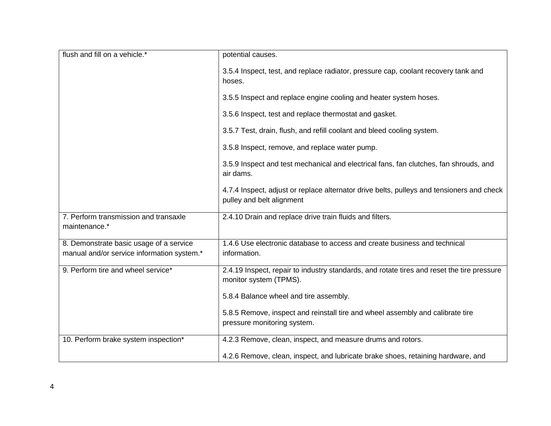| flush and fill on a vehicle.*              | potential causes.                                                                                                      |
|--------------------------------------------|------------------------------------------------------------------------------------------------------------------------|
|                                            | 3.5.4 Inspect, test, and replace radiator, pressure cap, coolant recovery tank and<br>hoses.                           |
|                                            | 3.5.5 Inspect and replace engine cooling and heater system hoses.                                                      |
|                                            | 3.5.6 Inspect, test and replace thermostat and gasket.                                                                 |
|                                            | 3.5.7 Test, drain, flush, and refill coolant and bleed cooling system.                                                 |
|                                            | 3.5.8 Inspect, remove, and replace water pump.                                                                         |
|                                            | 3.5.9 Inspect and test mechanical and electrical fans, fan clutches, fan shrouds, and<br>air dams.                     |
|                                            | 4.7.4 Inspect, adjust or replace alternator drive belts, pulleys and tensioners and check<br>pulley and belt alignment |
| 7. Perform transmission and transaxle      | 2.4.10 Drain and replace drive train fluids and filters.                                                               |
| maintenance.*                              |                                                                                                                        |
| 8. Demonstrate basic usage of a service    | 1.4.6 Use electronic database to access and create business and technical                                              |
| manual and/or service information system.* | information.                                                                                                           |
| 9. Perform tire and wheel service*         | 2.4.19 Inspect, repair to industry standards, and rotate tires and reset the tire pressure<br>monitor system (TPMS).   |
|                                            | 5.8.4 Balance wheel and tire assembly.                                                                                 |
|                                            | 5.8.5 Remove, inspect and reinstall tire and wheel assembly and calibrate tire<br>pressure monitoring system.          |
| 10. Perform brake system inspection*       | 4.2.3 Remove, clean, inspect, and measure drums and rotors.                                                            |
|                                            | 4.2.6 Remove, clean, inspect, and lubricate brake shoes, retaining hardware, and                                       |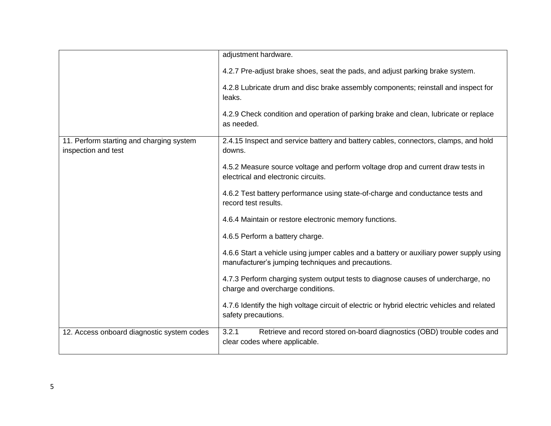|                                                                 | adjustment hardware.                                                                                                                          |  |
|-----------------------------------------------------------------|-----------------------------------------------------------------------------------------------------------------------------------------------|--|
|                                                                 | 4.2.7 Pre-adjust brake shoes, seat the pads, and adjust parking brake system.                                                                 |  |
|                                                                 | 4.2.8 Lubricate drum and disc brake assembly components; reinstall and inspect for<br>leaks.                                                  |  |
|                                                                 | 4.2.9 Check condition and operation of parking brake and clean, lubricate or replace<br>as needed.                                            |  |
| 11. Perform starting and charging system<br>inspection and test | 2.4.15 Inspect and service battery and battery cables, connectors, clamps, and hold<br>downs.                                                 |  |
|                                                                 | 4.5.2 Measure source voltage and perform voltage drop and current draw tests in<br>electrical and electronic circuits.                        |  |
|                                                                 | 4.6.2 Test battery performance using state-of-charge and conductance tests and<br>record test results.                                        |  |
|                                                                 | 4.6.4 Maintain or restore electronic memory functions.                                                                                        |  |
|                                                                 | 4.6.5 Perform a battery charge.                                                                                                               |  |
|                                                                 | 4.6.6 Start a vehicle using jumper cables and a battery or auxiliary power supply using<br>manufacturer's jumping techniques and precautions. |  |
|                                                                 | 4.7.3 Perform charging system output tests to diagnose causes of undercharge, no<br>charge and overcharge conditions.                         |  |
|                                                                 | 4.7.6 Identify the high voltage circuit of electric or hybrid electric vehicles and related<br>safety precautions.                            |  |
| 12. Access onboard diagnostic system codes                      | Retrieve and record stored on-board diagnostics (OBD) trouble codes and<br>3.2.1<br>clear codes where applicable.                             |  |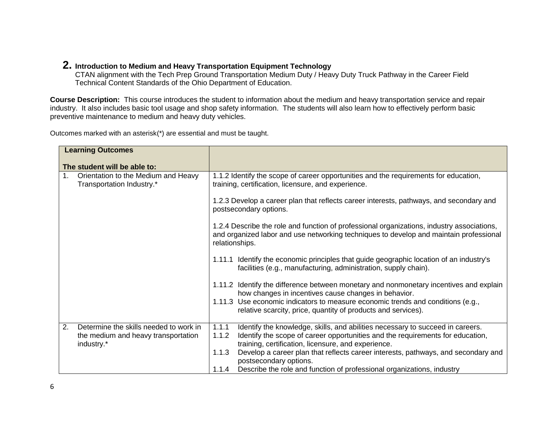## **2. Introduction to Medium and Heavy Transportation Equipment Technology**

CTAN alignment with the Tech Prep Ground Transportation Medium Duty / Heavy Duty Truck Pathway in the Career Field Technical Content Standards of the Ohio Department of Education.

**Course Description:** This course introduces the student to information about the medium and heavy transportation service and repair industry. It also includes basic tool usage and shop safety information. The students will also learn how to effectively perform basic preventive maintenance to medium and heavy duty vehicles.

Outcomes marked with an asterisk(\*) are essential and must be taught.

| <b>Learning Outcomes</b>                                                                          |                                                                                                                                                                                                                                           |  |  |
|---------------------------------------------------------------------------------------------------|-------------------------------------------------------------------------------------------------------------------------------------------------------------------------------------------------------------------------------------------|--|--|
| The student will be able to:                                                                      |                                                                                                                                                                                                                                           |  |  |
| $1_{\cdot}$<br>Orientation to the Medium and Heavy<br>Transportation Industry.*                   | 1.1.2 Identify the scope of career opportunities and the requirements for education,<br>training, certification, licensure, and experience.                                                                                               |  |  |
|                                                                                                   | 1.2.3 Develop a career plan that reflects career interests, pathways, and secondary and<br>postsecondary options.                                                                                                                         |  |  |
|                                                                                                   | 1.2.4 Describe the role and function of professional organizations, industry associations,<br>and organized labor and use networking techniques to develop and maintain professional<br>relationships.                                    |  |  |
|                                                                                                   | 1.11.1 Identify the economic principles that guide geographic location of an industry's<br>facilities (e.g., manufacturing, administration, supply chain).                                                                                |  |  |
|                                                                                                   | 1.11.2 Identify the difference between monetary and nonmonetary incentives and explain<br>how changes in incentives cause changes in behavior.                                                                                            |  |  |
|                                                                                                   | 1.11.3 Use economic indicators to measure economic trends and conditions (e.g.,<br>relative scarcity, price, quantity of products and services).                                                                                          |  |  |
| Determine the skills needed to work in<br>2.<br>the medium and heavy transportation<br>industry.* | 1.1.1<br>Identify the knowledge, skills, and abilities necessary to succeed in careers.<br>Identify the scope of career opportunities and the requirements for education,<br>1.1.2<br>training, certification, licensure, and experience. |  |  |
|                                                                                                   | Develop a career plan that reflects career interests, pathways, and secondary and<br>1.1.3<br>postsecondary options.                                                                                                                      |  |  |
|                                                                                                   | Describe the role and function of professional organizations, industry<br>1.1.4                                                                                                                                                           |  |  |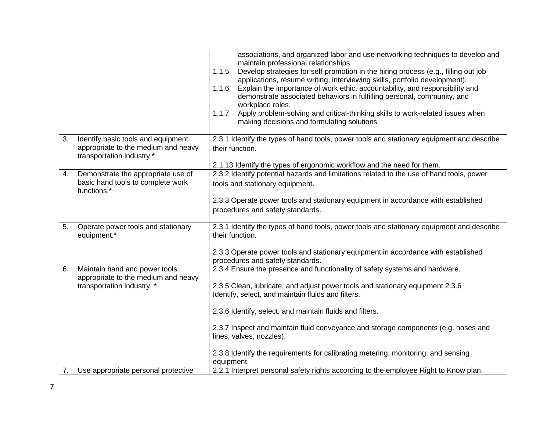|    |                                                                                                        | associations, and organized labor and use networking techniques to develop and<br>maintain professional relationships.<br>1.1.5<br>Develop strategies for self-promotion in the hiring process (e.g., filling out job<br>applications, résumé writing, interviewing skills, portfolio development).<br>Explain the importance of work ethic, accountability, and responsibility and<br>1.1.6<br>demonstrate associated behaviors in fulfilling personal, community, and<br>workplace roles.<br>1.1.7<br>Apply problem-solving and critical-thinking skills to work-related issues when<br>making decisions and formulating solutions. |  |
|----|--------------------------------------------------------------------------------------------------------|---------------------------------------------------------------------------------------------------------------------------------------------------------------------------------------------------------------------------------------------------------------------------------------------------------------------------------------------------------------------------------------------------------------------------------------------------------------------------------------------------------------------------------------------------------------------------------------------------------------------------------------|--|
| 3. | Identify basic tools and equipment<br>appropriate to the medium and heavy<br>transportation industry.* | 2.3.1 Identify the types of hand tools, power tools and stationary equipment and describe<br>their function.                                                                                                                                                                                                                                                                                                                                                                                                                                                                                                                          |  |
| 4. | Demonstrate the appropriate use of<br>basic hand tools to complete work<br>functions.*                 | 2.1.13 Identify the types of ergonomic workflow and the need for them.<br>2.3.2 Identify potential hazards and limitations related to the use of hand tools, power<br>tools and stationary equipment.<br>2.3.3 Operate power tools and stationary equipment in accordance with established                                                                                                                                                                                                                                                                                                                                            |  |
|    |                                                                                                        | procedures and safety standards.                                                                                                                                                                                                                                                                                                                                                                                                                                                                                                                                                                                                      |  |
| 5. | Operate power tools and stationary<br>equipment.*                                                      | 2.3.1 Identify the types of hand tools, power tools and stationary equipment and describe<br>their function.                                                                                                                                                                                                                                                                                                                                                                                                                                                                                                                          |  |
|    |                                                                                                        | 2.3.3 Operate power tools and stationary equipment in accordance with established<br>procedures and safety standards.                                                                                                                                                                                                                                                                                                                                                                                                                                                                                                                 |  |
| 6. | Maintain hand and power tools<br>appropriate to the medium and heavy<br>transportation industry. *     | 2.3.4 Ensure the presence and functionality of safety systems and hardware.<br>2.3.5 Clean, lubricate, and adjust power tools and stationary equipment.2.3.6<br>Identify, select, and maintain fluids and filters.                                                                                                                                                                                                                                                                                                                                                                                                                    |  |
|    |                                                                                                        | 2.3.6 Identify, select, and maintain fluids and filters.                                                                                                                                                                                                                                                                                                                                                                                                                                                                                                                                                                              |  |
|    |                                                                                                        | 2.3.7 Inspect and maintain fluid conveyance and storage components (e.g. hoses and<br>lines, valves, nozzles).                                                                                                                                                                                                                                                                                                                                                                                                                                                                                                                        |  |
|    |                                                                                                        | 2.3.8 Identify the requirements for calibrating metering, monitoring, and sensing<br>equipment.                                                                                                                                                                                                                                                                                                                                                                                                                                                                                                                                       |  |
| 7. | Use appropriate personal protective                                                                    | 2.2.1 Interpret personal safety rights according to the employee Right to Know plan.                                                                                                                                                                                                                                                                                                                                                                                                                                                                                                                                                  |  |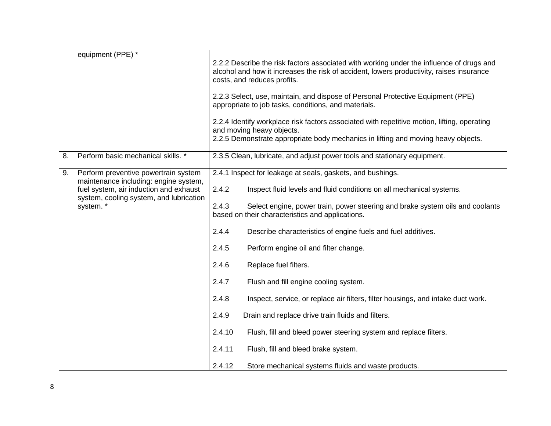|    | equipment (PPE) *                                                                                                          |                                                                                                                                                                                                                     |                                                                                                                                   |  |
|----|----------------------------------------------------------------------------------------------------------------------------|---------------------------------------------------------------------------------------------------------------------------------------------------------------------------------------------------------------------|-----------------------------------------------------------------------------------------------------------------------------------|--|
|    |                                                                                                                            | 2.2.2 Describe the risk factors associated with working under the influence of drugs and<br>alcohol and how it increases the risk of accident, lowers productivity, raises insurance<br>costs, and reduces profits. |                                                                                                                                   |  |
|    |                                                                                                                            | 2.2.3 Select, use, maintain, and dispose of Personal Protective Equipment (PPE)<br>appropriate to job tasks, conditions, and materials.                                                                             |                                                                                                                                   |  |
|    |                                                                                                                            | 2.2.4 Identify workplace risk factors associated with repetitive motion, lifting, operating<br>and moving heavy objects.                                                                                            |                                                                                                                                   |  |
|    |                                                                                                                            | 2.2.5 Demonstrate appropriate body mechanics in lifting and moving heavy objects.                                                                                                                                   |                                                                                                                                   |  |
| 8. | Perform basic mechanical skills. *                                                                                         | 2.3.5 Clean, lubricate, and adjust power tools and stationary equipment.                                                                                                                                            |                                                                                                                                   |  |
| 9. | Perform preventive powertrain system                                                                                       | 2.4.1 Inspect for leakage at seals, gaskets, and bushings.                                                                                                                                                          |                                                                                                                                   |  |
|    | maintenance including: engine system,<br>fuel system, air induction and exhaust<br>system, cooling system, and lubrication | 2.4.2                                                                                                                                                                                                               | Inspect fluid levels and fluid conditions on all mechanical systems.                                                              |  |
|    | system.*                                                                                                                   | 2.4.3                                                                                                                                                                                                               | Select engine, power train, power steering and brake system oils and coolants<br>based on their characteristics and applications. |  |
|    |                                                                                                                            | 2.4.4                                                                                                                                                                                                               | Describe characteristics of engine fuels and fuel additives.                                                                      |  |
|    |                                                                                                                            | 2.4.5                                                                                                                                                                                                               | Perform engine oil and filter change.                                                                                             |  |
|    |                                                                                                                            | 2.4.6                                                                                                                                                                                                               | Replace fuel filters.                                                                                                             |  |
|    |                                                                                                                            | 2.4.7                                                                                                                                                                                                               | Flush and fill engine cooling system.                                                                                             |  |
|    |                                                                                                                            | 2.4.8                                                                                                                                                                                                               | Inspect, service, or replace air filters, filter housings, and intake duct work.                                                  |  |
|    |                                                                                                                            | 2.4.9                                                                                                                                                                                                               | Drain and replace drive train fluids and filters.                                                                                 |  |
|    |                                                                                                                            | 2.4.10                                                                                                                                                                                                              | Flush, fill and bleed power steering system and replace filters.                                                                  |  |
|    |                                                                                                                            | 2.4.11                                                                                                                                                                                                              | Flush, fill and bleed brake system.                                                                                               |  |
|    |                                                                                                                            | 2.4.12                                                                                                                                                                                                              | Store mechanical systems fluids and waste products.                                                                               |  |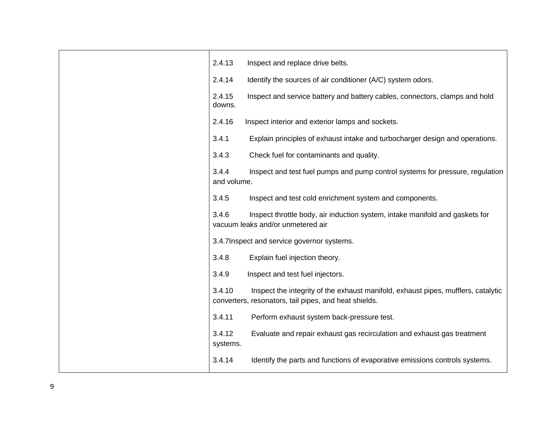| 2.4.13               | Inspect and replace drive belts.                                                                                                           |
|----------------------|--------------------------------------------------------------------------------------------------------------------------------------------|
| 2.4.14               | Identify the sources of air conditioner (A/C) system odors.                                                                                |
| 2.4.15<br>downs.     | Inspect and service battery and battery cables, connectors, clamps and hold                                                                |
| 2.4.16               | Inspect interior and exterior lamps and sockets.                                                                                           |
| 3.4.1                | Explain principles of exhaust intake and turbocharger design and operations.                                                               |
| 3.4.3                | Check fuel for contaminants and quality.                                                                                                   |
| 3.4.4<br>and volume. | Inspect and test fuel pumps and pump control systems for pressure, regulation                                                              |
| 3.4.5                | Inspect and test cold enrichment system and components.                                                                                    |
| 3.4.6                | Inspect throttle body, air induction system, intake manifold and gaskets for<br>vacuum leaks and/or unmetered air                          |
|                      | 3.4.7 Inspect and service governor systems.                                                                                                |
| 3.4.8                | Explain fuel injection theory.                                                                                                             |
| 3.4.9                | Inspect and test fuel injectors.                                                                                                           |
| 3.4.10               | Inspect the integrity of the exhaust manifold, exhaust pipes, mufflers, catalytic<br>converters, resonators, tail pipes, and heat shields. |
| 3.4.11               | Perform exhaust system back-pressure test.                                                                                                 |
| 3.4.12<br>systems.   | Evaluate and repair exhaust gas recirculation and exhaust gas treatment                                                                    |
| 3.4.14               | Identify the parts and functions of evaporative emissions controls systems.                                                                |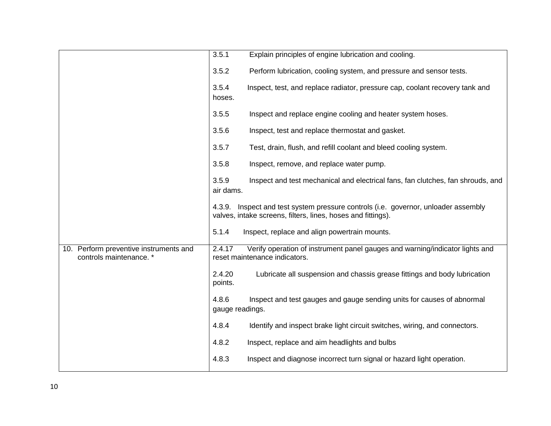|                                                                   | 3.5.1<br>Explain principles of engine lubrication and cooling.                                                                                     |
|-------------------------------------------------------------------|----------------------------------------------------------------------------------------------------------------------------------------------------|
|                                                                   | 3.5.2<br>Perform lubrication, cooling system, and pressure and sensor tests.                                                                       |
|                                                                   | 3.5.4<br>Inspect, test, and replace radiator, pressure cap, coolant recovery tank and<br>hoses.                                                    |
|                                                                   | 3.5.5<br>Inspect and replace engine cooling and heater system hoses.                                                                               |
|                                                                   | 3.5.6<br>Inspect, test and replace thermostat and gasket.                                                                                          |
|                                                                   | 3.5.7<br>Test, drain, flush, and refill coolant and bleed cooling system.                                                                          |
|                                                                   | 3.5.8<br>Inspect, remove, and replace water pump.                                                                                                  |
|                                                                   | 3.5.9<br>Inspect and test mechanical and electrical fans, fan clutches, fan shrouds, and<br>air dams.                                              |
|                                                                   | 4.3.9. Inspect and test system pressure controls (i.e. governor, unloader assembly<br>valves, intake screens, filters, lines, hoses and fittings). |
|                                                                   | 5.1.4<br>Inspect, replace and align powertrain mounts.                                                                                             |
| 10. Perform preventive instruments and<br>controls maintenance. * | 2.4.17<br>Verify operation of instrument panel gauges and warning/indicator lights and<br>reset maintenance indicators.                            |
|                                                                   | 2.4.20<br>Lubricate all suspension and chassis grease fittings and body lubrication<br>points.                                                     |
|                                                                   | Inspect and test gauges and gauge sending units for causes of abnormal<br>4.8.6<br>gauge readings.                                                 |
|                                                                   | 4.8.4<br>Identify and inspect brake light circuit switches, wiring, and connectors.                                                                |
|                                                                   | 4.8.2<br>Inspect, replace and aim headlights and bulbs                                                                                             |
|                                                                   | 4.8.3<br>Inspect and diagnose incorrect turn signal or hazard light operation.                                                                     |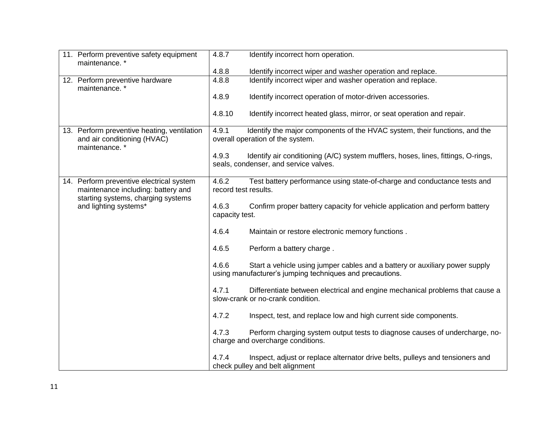| 11. Perform preventive safety equipment<br>maintenance.*                                    | 4.8.7<br>Identify incorrect horn operation.                                                                                                      |
|---------------------------------------------------------------------------------------------|--------------------------------------------------------------------------------------------------------------------------------------------------|
|                                                                                             | 4.8.8<br>Identify incorrect wiper and washer operation and replace.                                                                              |
| 12. Perform preventive hardware<br>maintenance.*                                            | 4.8.8<br>Identify incorrect wiper and washer operation and replace.                                                                              |
|                                                                                             | 4.8.9<br>Identify incorrect operation of motor-driven accessories.                                                                               |
|                                                                                             | 4.8.10<br>Identify incorrect heated glass, mirror, or seat operation and repair.                                                                 |
| 13. Perform preventive heating, ventilation<br>and air conditioning (HVAC)<br>maintenance.* | Identify the major components of the HVAC system, their functions, and the<br>4.9.1<br>overall operation of the system.                          |
|                                                                                             | 4.9.3<br>Identify air conditioning (A/C) system mufflers, hoses, lines, fittings, O-rings,<br>seals, condenser, and service valves.              |
| 14. Perform preventive electrical system<br>maintenance including: battery and              | 4.6.2<br>Test battery performance using state-of-charge and conductance tests and<br>record test results.                                        |
| starting systems, charging systems<br>and lighting systems*                                 | 4.6.3<br>Confirm proper battery capacity for vehicle application and perform battery<br>capacity test.                                           |
|                                                                                             | 4.6.4<br>Maintain or restore electronic memory functions.                                                                                        |
|                                                                                             | Perform a battery charge.<br>4.6.5                                                                                                               |
|                                                                                             | 4.6.6<br>Start a vehicle using jumper cables and a battery or auxiliary power supply<br>using manufacturer's jumping techniques and precautions. |
|                                                                                             | 4.7.1<br>Differentiate between electrical and engine mechanical problems that cause a<br>slow-crank or no-crank condition.                       |
|                                                                                             | 4.7.2<br>Inspect, test, and replace low and high current side components.                                                                        |
|                                                                                             | 4.7.3<br>Perform charging system output tests to diagnose causes of undercharge, no-<br>charge and overcharge conditions.                        |
|                                                                                             | 4.7.4<br>Inspect, adjust or replace alternator drive belts, pulleys and tensioners and<br>check pulley and belt alignment                        |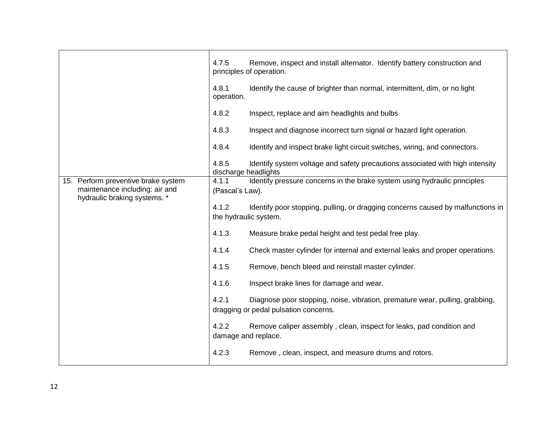|                                                                       | 4.7.5                         | Remove, inspect and install alternator. Identify battery construction and<br>principles of operation.                 |
|-----------------------------------------------------------------------|-------------------------------|-----------------------------------------------------------------------------------------------------------------------|
|                                                                       | 4.8.1<br>operation.           | Identify the cause of brighter than normal, intermittent, dim, or no light                                            |
|                                                                       | 4.8.2                         | Inspect, replace and aim headlights and bulbs                                                                         |
|                                                                       | 4.8.3                         | Inspect and diagnose incorrect turn signal or hazard light operation.                                                 |
|                                                                       | 4.8.4                         | Identify and inspect brake light circuit switches, wiring, and connectors.                                            |
|                                                                       | 4.8.5<br>discharge headlights | Identify system voltage and safety precautions associated with high intensity                                         |
| 15. Perform preventive brake system<br>maintenance including: air and | 4.1.1<br>(Pascal's Law).      | Identify pressure concerns in the brake system using hydraulic principles                                             |
| hydraulic braking systems. *                                          | 4.1.2                         | Identify poor stopping, pulling, or dragging concerns caused by malfunctions in<br>the hydraulic system.              |
|                                                                       | 4.1.3                         | Measure brake pedal height and test pedal free play.                                                                  |
|                                                                       | 4.1.4                         | Check master cylinder for internal and external leaks and proper operations.                                          |
|                                                                       | 4.1.5                         | Remove, bench bleed and reinstall master cylinder.                                                                    |
|                                                                       | 4.1.6                         | Inspect brake lines for damage and wear.                                                                              |
|                                                                       | 4.2.1                         | Diagnose poor stopping, noise, vibration, premature wear, pulling, grabbing,<br>dragging or pedal pulsation concerns. |
|                                                                       | 4.2.2                         | Remove caliper assembly, clean, inspect for leaks, pad condition and<br>damage and replace.                           |
|                                                                       | 4.2.3                         | Remove, clean, inspect, and measure drums and rotors.                                                                 |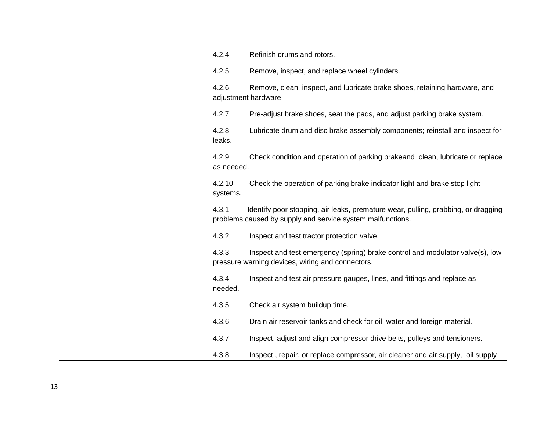| 4.2.4               | Refinish drums and rotors.                                                                                                                      |
|---------------------|-------------------------------------------------------------------------------------------------------------------------------------------------|
| 4.2.5               | Remove, inspect, and replace wheel cylinders.                                                                                                   |
| 4.2.6               | Remove, clean, inspect, and lubricate brake shoes, retaining hardware, and<br>adjustment hardware.                                              |
| 4.2.7               | Pre-adjust brake shoes, seat the pads, and adjust parking brake system.                                                                         |
| 4.2.8<br>leaks.     | Lubricate drum and disc brake assembly components; reinstall and inspect for                                                                    |
| 4.2.9<br>as needed. | Check condition and operation of parking brakeand clean, lubricate or replace                                                                   |
| 4.2.10<br>systems.  | Check the operation of parking brake indicator light and brake stop light                                                                       |
| 4.3.1               | Identify poor stopping, air leaks, premature wear, pulling, grabbing, or dragging<br>problems caused by supply and service system malfunctions. |
| 4.3.2               | Inspect and test tractor protection valve.                                                                                                      |
| 4.3.3               | Inspect and test emergency (spring) brake control and modulator valve(s), low<br>pressure warning devices, wiring and connectors.               |
| 4.3.4<br>needed.    | Inspect and test air pressure gauges, lines, and fittings and replace as                                                                        |
| 4.3.5               | Check air system buildup time.                                                                                                                  |
| 4.3.6               | Drain air reservoir tanks and check for oil, water and foreign material.                                                                        |
| 4.3.7               | Inspect, adjust and align compressor drive belts, pulleys and tensioners.                                                                       |
| 4.3.8               | Inspect, repair, or replace compressor, air cleaner and air supply, oil supply                                                                  |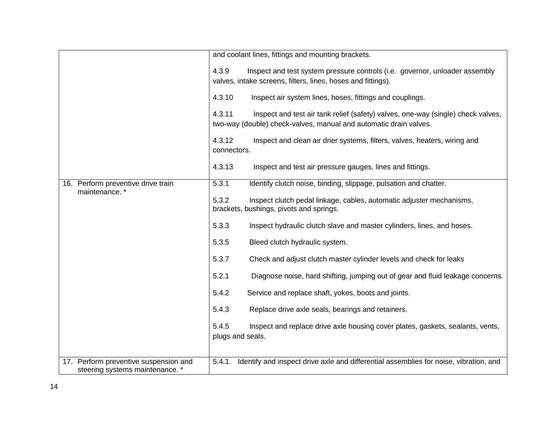|                                       | and coolant lines, fittings and mounting brackets.                                                                       |  |  |
|---------------------------------------|--------------------------------------------------------------------------------------------------------------------------|--|--|
|                                       |                                                                                                                          |  |  |
|                                       | 4.3.9<br>Inspect and test system pressure controls (i.e. governor, unloader assembly                                     |  |  |
|                                       | valves, intake screens, filters, lines, hoses and fittings).                                                             |  |  |
|                                       | 4.3.10<br>Inspect air system lines, hoses, fittings and couplings.                                                       |  |  |
|                                       | 4.3.11<br>Inspect and test air tank relief (safety) valves, one-way (single) check valves,                               |  |  |
|                                       | two-way (double) check-valves, manual and automatic drain valves.                                                        |  |  |
|                                       | 4.3.12<br>Inspect and clean air drier systems, filters, valves, heaters, wiring and                                      |  |  |
|                                       | connectors.                                                                                                              |  |  |
|                                       |                                                                                                                          |  |  |
|                                       | 4.3.13<br>Inspect and test air pressure gauges, lines and fittings.                                                      |  |  |
| 16. Perform preventive drive train    | 5.3.1<br>Identify clutch noise, binding, slippage, pulsation and chatter.                                                |  |  |
| maintenance.*                         |                                                                                                                          |  |  |
|                                       | 5.3.2<br>Inspect clutch pedal linkage, cables, automatic adjuster mechanisms,<br>brackets, bushings, pivots and springs. |  |  |
|                                       |                                                                                                                          |  |  |
|                                       | 5.3.3<br>Inspect hydraulic clutch slave and master cylinders, lines, and hoses.                                          |  |  |
|                                       | 5.3.5<br>Bleed clutch hydraulic system.                                                                                  |  |  |
|                                       | 5.3.7<br>Check and adjust clutch master cylinder levels and check for leaks                                              |  |  |
|                                       | 5.2.1<br>Diagnose noise, hard shifting, jumping out of gear and fluid leakage concerns.                                  |  |  |
|                                       | 5.4.2<br>Service and replace shaft, yokes, boots and joints.                                                             |  |  |
|                                       | 5.4.3<br>Replace drive axle seals, bearings and retainers.                                                               |  |  |
|                                       | 5.4.5<br>Inspect and replace drive axle housing cover plates, gaskets, sealants, vents,                                  |  |  |
|                                       | plugs and seals.                                                                                                         |  |  |
|                                       |                                                                                                                          |  |  |
| 17. Perform preventive suspension and | Identify and inspect drive axle and differential assemblies for noise, vibration, and<br>5.4.1.                          |  |  |
| steering systems maintenance. *       |                                                                                                                          |  |  |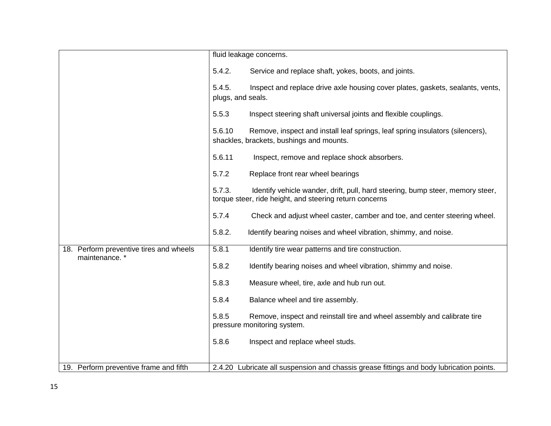|                                                          | fluid leakage concerns.                                                                                                                             |
|----------------------------------------------------------|-----------------------------------------------------------------------------------------------------------------------------------------------------|
|                                                          | 5.4.2.<br>Service and replace shaft, yokes, boots, and joints.                                                                                      |
|                                                          | 5.4.5.<br>Inspect and replace drive axle housing cover plates, gaskets, sealants, vents,<br>plugs, and seals.                                       |
|                                                          | 5.5.3<br>Inspect steering shaft universal joints and flexible couplings.                                                                            |
|                                                          | Remove, inspect and install leaf springs, leaf spring insulators (silencers),<br>5.6.10<br>shackles, brackets, bushings and mounts.                 |
|                                                          | 5.6.11<br>Inspect, remove and replace shock absorbers.                                                                                              |
|                                                          | 5.7.2<br>Replace front rear wheel bearings                                                                                                          |
|                                                          | 5.7.3.<br>Identify vehicle wander, drift, pull, hard steering, bump steer, memory steer,<br>torque steer, ride height, and steering return concerns |
|                                                          | 5.7.4<br>Check and adjust wheel caster, camber and toe, and center steering wheel.                                                                  |
|                                                          | 5.8.2.<br>Identify bearing noises and wheel vibration, shimmy, and noise.                                                                           |
| 18. Perform preventive tires and wheels<br>maintenance.* | 5.8.1<br>Identify tire wear patterns and tire construction.                                                                                         |
|                                                          | 5.8.2<br>Identify bearing noises and wheel vibration, shimmy and noise.                                                                             |
|                                                          | 5.8.3<br>Measure wheel, tire, axle and hub run out.                                                                                                 |
|                                                          | 5.8.4<br>Balance wheel and tire assembly.                                                                                                           |
|                                                          | 5.8.5<br>Remove, inspect and reinstall tire and wheel assembly and calibrate tire<br>pressure monitoring system.                                    |
|                                                          | 5.8.6<br>Inspect and replace wheel studs.                                                                                                           |
|                                                          |                                                                                                                                                     |
| 19. Perform preventive frame and fifth                   | 2.4.20 Lubricate all suspension and chassis grease fittings and body lubrication points.                                                            |